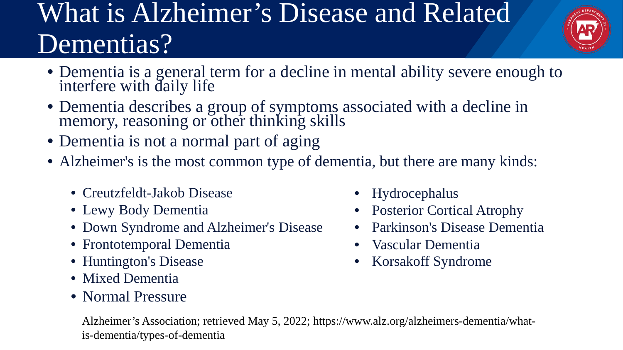## What is Alzheimer's Disease and Related Dementias?



- Dementia is a general term for a decline in mental ability severe enough to interfere with daily life
- Dementia describes a group of symptoms associated with a decline in memory, reasoning or other thinking skills
- Dementia is not a normal part of aging
- Alzheimer's is the most common type of dementia, but there are many kinds:
	- Creutzfeldt-Jakob Disease
	- Lewy Body Dementia
	- Down Syndrome and Alzheimer's Disease
	- Frontotemporal Dementia
	- Huntington's Disease
	- Mixed Dementia
	- Normal Pressure
- Hydrocephalus
- Posterior Cortical Atrophy
- Parkinson's Disease Dementia
- Vascular Dementia
- Korsakoff Syndrome

Alzheimer's Association; retrieved May 5, 2022; https://www.alz.org/alzheimers-dementia/whatis-dementia/types-of-dementia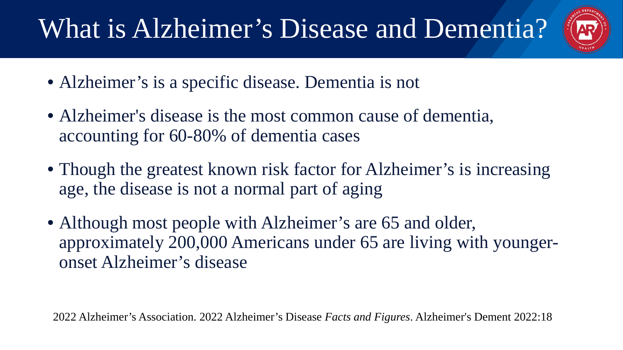# What is Alzheimer's Disease and Dementia?



- Alzheimer's is a specific disease. Dementia is not
- Alzheimer's disease is the most common cause of dementia, accounting for 60-80% of dementia cases
- Though the greatest known risk factor for Alzheimer's is increasing age, the disease is not a normal part of aging
- Although most people with Alzheimer's are 65 and older, approximately 200,000 Americans under 65 are living with youngeronset Alzheimer's disease

2022 Alzheimer's Association. 2022 Alzheimer's Disease *Facts and Figures*. Alzheimer's Dement 2022:18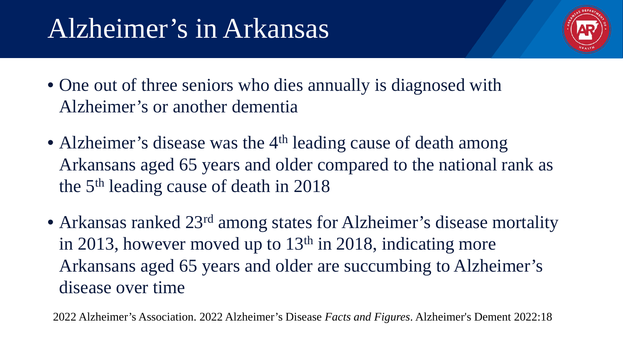## Alzheimer's in Arkansas



- One out of three seniors who dies annually is diagnosed with Alzheimer's or another dementia
- Alzheimer's disease was the  $4<sup>th</sup>$  leading cause of death among Arkansans aged 65 years and older compared to the national rank as the 5th leading cause of death in 2018
- Arkansas ranked 23<sup>rd</sup> among states for Alzheimer's disease mortality in 2013, however moved up to  $13<sup>th</sup>$  in 2018, indicating more Arkansans aged 65 years and older are succumbing to Alzheimer's disease over time

2022 Alzheimer's Association. 2022 Alzheimer's Disease *Facts and Figures*. Alzheimer's Dement 2022:18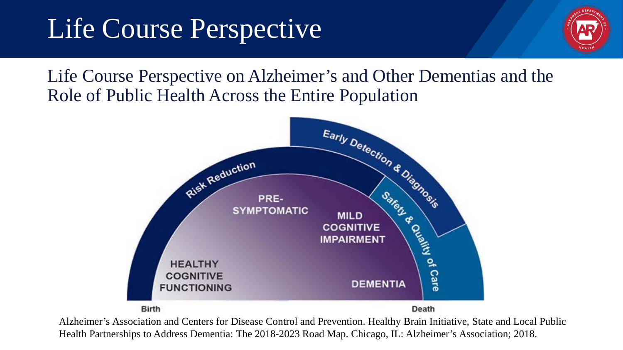## Life Course Perspective



Life Course Perspective on Alzheimer's and Other Dementias and the Role of Public Health Across the Entire Population



Alzheimer's Association and Centers for Disease Control and Prevention. Healthy Brain Initiative, State and Local Public Health Partnerships to Address Dementia: The 2018-2023 Road Map. Chicago, IL: Alzheimer's Association; 2018.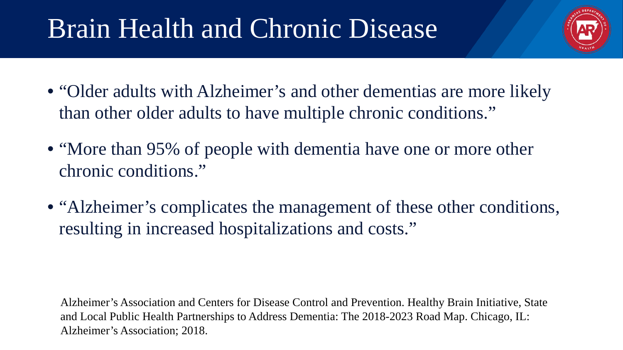## Brain Health and Chronic Disease

- 
- "Older adults with Alzheimer's and other dementias are more likely than other older adults to have multiple chronic conditions."
- "More than 95% of people with dementia have one or more other chronic conditions."
- "Alzheimer's complicates the management of these other conditions, resulting in increased hospitalizations and costs."

Alzheimer's Association and Centers for Disease Control and Prevention. Healthy Brain Initiative, State and Local Public Health Partnerships to Address Dementia: The 2018-2023 Road Map. Chicago, IL: Alzheimer's Association; 2018.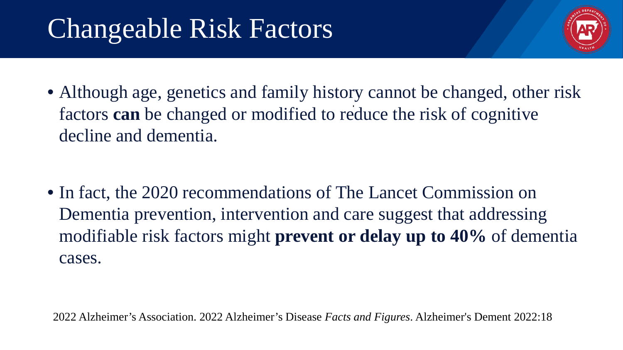# Changeable Risk Factors



• Although age, genetics and family history cannot be changed, other risk factors **can** be changed or modified to reduce the risk of cognitive decline and dementia.

• In fact, the 2020 recommendations of The Lancet Commission on Dementia prevention, intervention and care suggest that addressing modifiable risk factors might **prevent or delay up to 40%** of dementia cases.

2022 Alzheimer's Association. 2022 Alzheimer's Disease *Facts and Figures*. Alzheimer's Dement 2022:18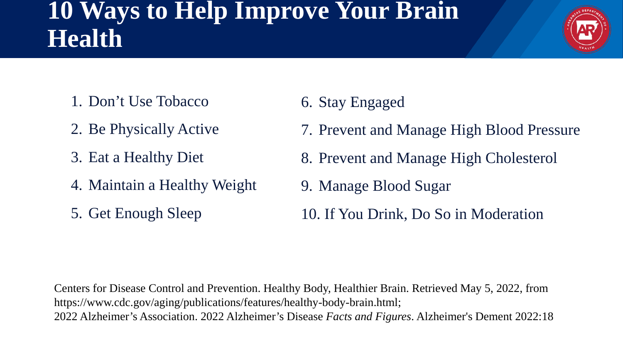#### **10 Ways to Help Improve Your Brain Health**



- 1. Don't Use Tobacco
- 2. Be Physically Active
- 3. Eat a Healthy Diet
- 4. Maintain a Healthy Weight
- 5. Get Enough Sleep
- 6. Stay Engaged
- 7. Prevent and Manage High Blood Pressure
- 8. Prevent and Manage High Cholesterol
- 9. Manage Blood Sugar
- 10. If You Drink, Do So in Moderation

Centers for Disease Control and Prevention. Healthy Body, Healthier Brain. Retrieved May 5, 2022, from https://www.cdc.gov/aging/publications/features/healthy-body-brain.html; 2022 Alzheimer's Association. 2022 Alzheimer's Disease *Facts and Figures*. Alzheimer's Dement 2022:18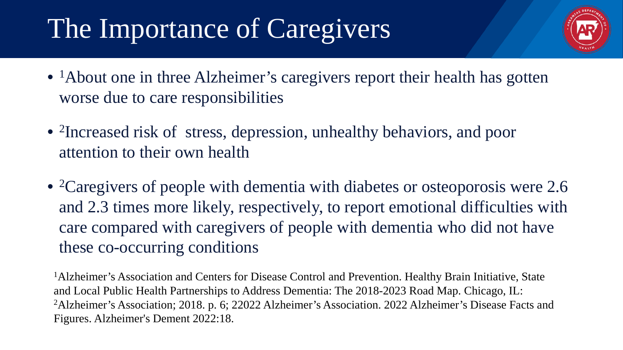## The Importance of Caregivers



- <sup>1</sup>About one in three Alzheimer's caregivers report their health has gotten worse due to care responsibilities
- <sup>2</sup>Increased risk of stress, depression, unhealthy behaviors, and poor attention to their own health
- <sup>2</sup>Caregivers of people with dementia with diabetes or osteoporosis were 2.6 and 2.3 times more likely, respectively, to report emotional difficulties with care compared with caregivers of people with dementia who did not have these co-occurring conditions

<sup>1</sup>Alzheimer's Association and Centers for Disease Control and Prevention. Healthy Brain Initiative, State and Local Public Health Partnerships to Address Dementia: The 2018-2023 Road Map. Chicago, IL: 2Alzheimer's Association; 2018. p. 6; 22022 Alzheimer's Association. 2022 Alzheimer's Disease Facts and Figures. Alzheimer's Dement 2022:18.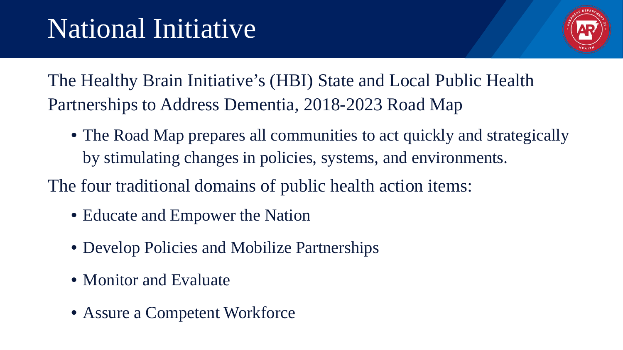

The Healthy Brain Initiative's (HBI) State and Local Public Health Partnerships to Address Dementia, 2018-2023 Road Map

• The Road Map prepares all communities to act quickly and strategically by stimulating changes in policies, systems, and environments.

The four traditional domains of public health action items:

- Educate and Empower the Nation
- Develop Policies and Mobilize Partnerships
- Monitor and Evaluate
- Assure a Competent Workforce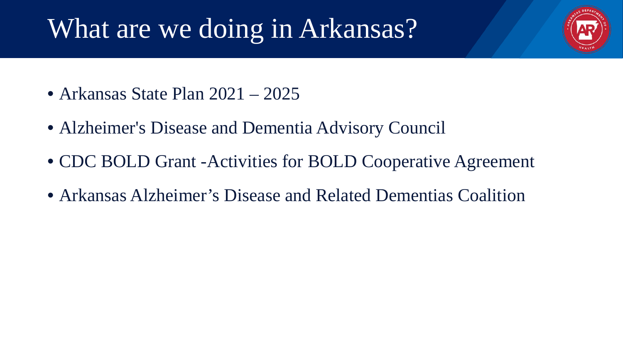## What are we doing in Arkansas?

- Arkansas State Plan 2021 2025
- Alzheimer's Disease and Dementia Advisory Council
- CDC BOLD Grant Activities for BOLD Cooperative Agreement
- Arkansas Alzheimer's Disease and Related Dementias Coalition